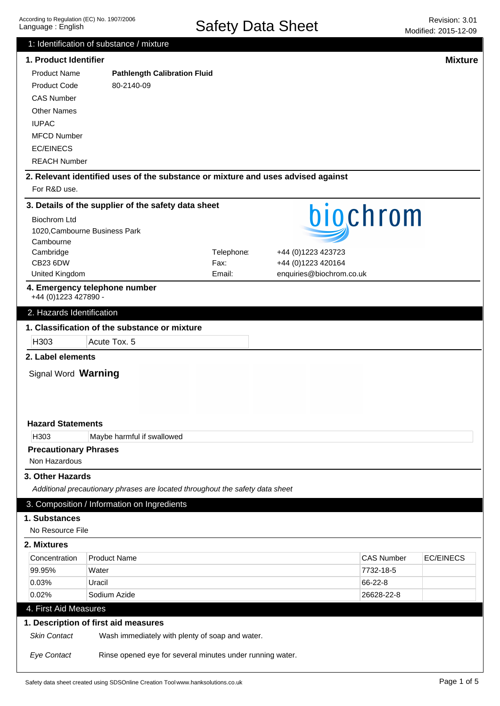|                                               | 1: Identification of substance / mixture                                                |            |                          |                   |                  |
|-----------------------------------------------|-----------------------------------------------------------------------------------------|------------|--------------------------|-------------------|------------------|
| 1. Product Identifier                         |                                                                                         |            |                          |                   | <b>Mixture</b>   |
| <b>Product Name</b>                           | <b>Pathlength Calibration Fluid</b>                                                     |            |                          |                   |                  |
| <b>Product Code</b>                           | 80-2140-09                                                                              |            |                          |                   |                  |
| <b>CAS Number</b>                             |                                                                                         |            |                          |                   |                  |
| <b>Other Names</b>                            |                                                                                         |            |                          |                   |                  |
| <b>IUPAC</b>                                  |                                                                                         |            |                          |                   |                  |
| <b>MFCD Number</b>                            |                                                                                         |            |                          |                   |                  |
| <b>EC/EINECS</b>                              |                                                                                         |            |                          |                   |                  |
| <b>REACH Number</b>                           |                                                                                         |            |                          |                   |                  |
|                                               |                                                                                         |            |                          |                   |                  |
| For R&D use.                                  | 2. Relevant identified uses of the substance or mixture and uses advised against        |            |                          |                   |                  |
|                                               | 3. Details of the supplier of the safety data sheet                                     |            |                          |                   |                  |
| <b>Biochrom Ltd</b>                           |                                                                                         |            | biochrom                 |                   |                  |
|                                               | 1020, Cambourne Business Park                                                           |            |                          |                   |                  |
| Cambourne                                     |                                                                                         |            |                          |                   |                  |
| Cambridge                                     |                                                                                         | Telephone: | +44 (0)1223 423723       |                   |                  |
| <b>CB23 6DW</b>                               |                                                                                         | Fax:       | +44 (0)1223 420164       |                   |                  |
| United Kingdom                                |                                                                                         | Email:     | enquiries@biochrom.co.uk |                   |                  |
| +44 (0) 1223 427890 -                         | 4. Emergency telephone number                                                           |            |                          |                   |                  |
| 2. Hazards Identification                     |                                                                                         |            |                          |                   |                  |
|                                               | 1. Classification of the substance or mixture                                           |            |                          |                   |                  |
| H303                                          | Acute Tox. 5                                                                            |            |                          |                   |                  |
| 2. Label elements                             |                                                                                         |            |                          |                   |                  |
| Signal Word Warning                           |                                                                                         |            |                          |                   |                  |
|                                               |                                                                                         |            |                          |                   |                  |
|                                               |                                                                                         |            |                          |                   |                  |
|                                               |                                                                                         |            |                          |                   |                  |
| <b>Hazard Statements</b>                      |                                                                                         |            |                          |                   |                  |
| H303                                          |                                                                                         |            |                          |                   |                  |
|                                               | Maybe harmful if swallowed                                                              |            |                          |                   |                  |
| <b>Precautionary Phrases</b><br>Non Hazardous |                                                                                         |            |                          |                   |                  |
|                                               |                                                                                         |            |                          |                   |                  |
| 3. Other Hazards                              |                                                                                         |            |                          |                   |                  |
|                                               | Additional precautionary phrases are located throughout the safety data sheet           |            |                          |                   |                  |
|                                               | 3. Composition / Information on Ingredients                                             |            |                          |                   |                  |
| 1. Substances                                 |                                                                                         |            |                          |                   |                  |
| No Resource File                              |                                                                                         |            |                          |                   |                  |
| 2. Mixtures                                   |                                                                                         |            |                          |                   |                  |
| Concentration                                 | <b>Product Name</b>                                                                     |            |                          | <b>CAS Number</b> | <b>EC/EINECS</b> |
| 99.95%                                        | Water                                                                                   |            |                          | 7732-18-5         |                  |
| 0.03%                                         | Uracil                                                                                  |            |                          | 66-22-8           |                  |
| 0.02%                                         | Sodium Azide                                                                            |            |                          | 26628-22-8        |                  |
| 4. First Aid Measures                         |                                                                                         |            |                          |                   |                  |
|                                               |                                                                                         |            |                          |                   |                  |
| <b>Skin Contact</b>                           | 1. Description of first aid measures<br>Wash immediately with plenty of soap and water. |            |                          |                   |                  |
| <b>Eye Contact</b>                            | Rinse opened eye for several minutes under running water.                               |            |                          |                   |                  |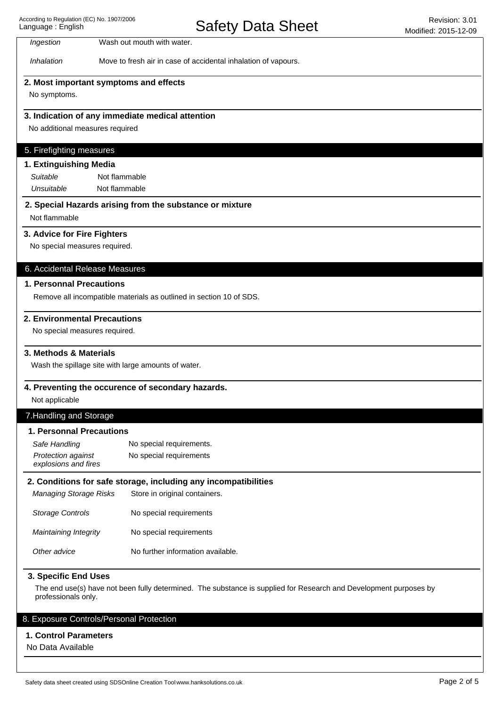Inhalation Move to fresh air in case of accidental inhalation of vapours.

### **2. Most important symptoms and effects**

Ingestion Wash out mouth with water.

No symptoms.

## **3. Indication of any immediate medical attention**

No additional measures required

#### 5. Firefighting measures

| 1. Extinguishing Media |               |  |
|------------------------|---------------|--|
| Suitable               | Not flammable |  |
| Unsuitable             | Not flammable |  |

## **2. Special Hazards arising from the substance or mixture**

Not flammable

#### **3. Advice for Fire Fighters**

No special measures required.

#### 6. Accidental Release Measures

#### **1. Personnal Precautions**

Remove all incompatible materials as outlined in section 10 of SDS.

#### **2. Environmental Precautions**

No special measures required.

#### **3. Methods & Materials**

Wash the spillage site with large amounts of water.

#### **4. Preventing the occurence of secondary hazards.**

Not applicable

### 7.Handling and Storage

## **1. Personnal Precautions**

| Safe Handling                                     | No special requirements. |
|---------------------------------------------------|--------------------------|
| <b>Protection against</b><br>explosions and fires | No special requirements  |

#### **2. Conditions for safe storage, including any incompatibilities**

Other advice No further information available. Maintaining Integrity Storage Controls Managing Storage Risks Store in original containers. No special requirements No special requirements

#### **3. Specific End Uses**

The end use(s) have not been fully determined. The substance is supplied for Research and Development purposes by professionals only.

## 8. Exposure Controls/Personal Protection

#### **1. Control Parameters**

No Data Available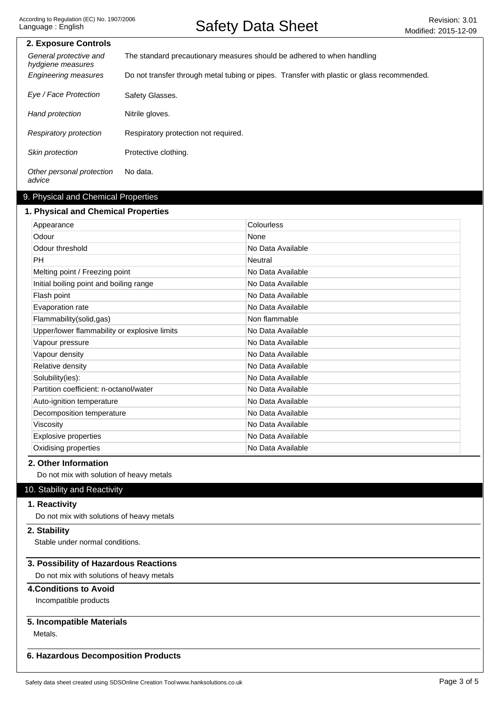| 2. Exposure Controls                        |                                                                                            |  |
|---------------------------------------------|--------------------------------------------------------------------------------------------|--|
| General protective and<br>hydgiene measures | The standard precautionary measures should be adhered to when handling                     |  |
| <b>Engineering measures</b>                 | Do not transfer through metal tubing or pipes. Transfer with plastic or glass recommended. |  |
| Eye / Face Protection                       | Safety Glasses.                                                                            |  |
| Hand protection                             | Nitrile gloves.                                                                            |  |
| Respiratory protection                      | Respiratory protection not required.                                                       |  |
| Skin protection                             | Protective clothing.                                                                       |  |
| Other personal protection<br>advice         | No data.                                                                                   |  |

## 9. Physical and Chemical Properties

### **1. Physical and Chemical Properties**

| Appearance                                   | Colourless        |
|----------------------------------------------|-------------------|
| Odour                                        | None              |
| Odour threshold                              | No Data Available |
| <b>PH</b>                                    | <b>Neutral</b>    |
| Melting point / Freezing point               | No Data Available |
| Initial boiling point and boiling range      | No Data Available |
| Flash point                                  | No Data Available |
| Evaporation rate                             | No Data Available |
| Flammability(solid,gas)                      | Non flammable     |
| Upper/lower flammability or explosive limits | No Data Available |
| Vapour pressure                              | No Data Available |
| Vapour density                               | No Data Available |
| Relative density                             | No Data Available |
| Solubility(ies):                             | No Data Available |
| Partition coefficient: n-octanol/water       | No Data Available |
| Auto-ignition temperature                    | No Data Available |
| Decomposition temperature                    | No Data Available |
| Viscosity                                    | No Data Available |
| <b>Explosive properties</b>                  | No Data Available |
| Oxidising properties                         | No Data Available |

## **2. Other Information**

Do not mix with solution of heavy metals

## 10. Stability and Reactivity

## **1. Reactivity**

Do not mix with solutions of heavy metals

## **2. Stability**

Stable under normal conditions.

### **3. Possibility of Hazardous Reactions**

Do not mix with solutions of heavy metals

## **4.Conditions to Avoid**

Incompatible products

## **5. Incompatible Materials**

Metals.

## **6. Hazardous Decomposition Products**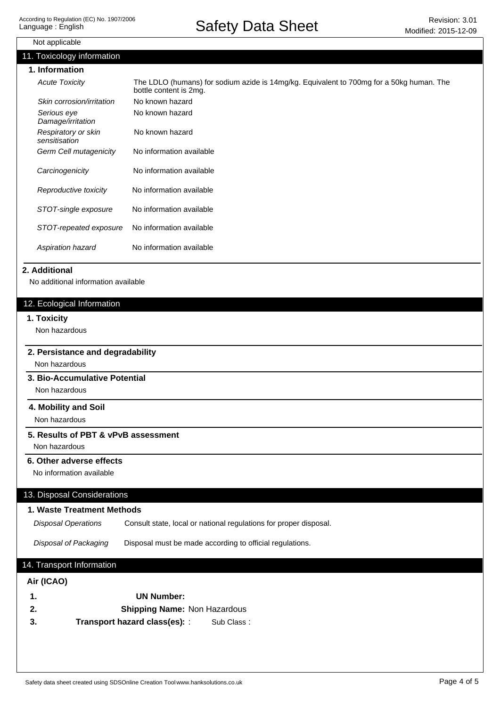| Not applicable                                       |                                                                                                                    |
|------------------------------------------------------|--------------------------------------------------------------------------------------------------------------------|
| 11. Toxicology information                           |                                                                                                                    |
| 1. Information                                       |                                                                                                                    |
| <b>Acute Toxicity</b>                                | The LDLO (humans) for sodium azide is 14mg/kg. Equivalent to 700mg for a 50kg human. The<br>bottle content is 2mg. |
| Skin corrosion/irritation                            | No known hazard                                                                                                    |
| Serious eye<br>Damage/irritation                     | No known hazard                                                                                                    |
| Respiratory or skin<br>sensitisation                 | No known hazard                                                                                                    |
| Germ Cell mutagenicity                               | No information available                                                                                           |
| Carcinogenicity                                      | No information available                                                                                           |
| Reproductive toxicity                                | No information available                                                                                           |
| STOT-single exposure                                 | No information available                                                                                           |
| STOT-repeated exposure                               | No information available                                                                                           |
| Aspiration hazard                                    | No information available                                                                                           |
| 12. Ecological Information<br>1. Toxicity            |                                                                                                                    |
| Non hazardous                                        |                                                                                                                    |
| 2. Persistance and degradability                     |                                                                                                                    |
| Non hazardous                                        |                                                                                                                    |
| 3. Bio-Accumulative Potential<br>Non hazardous       |                                                                                                                    |
| 4. Mobility and Soil<br>Non hazardous                |                                                                                                                    |
| 5. Results of PBT & vPvB assessment                  |                                                                                                                    |
| Non hazardous                                        |                                                                                                                    |
| 6. Other adverse effects<br>No information available |                                                                                                                    |
| 13. Disposal Considerations                          |                                                                                                                    |
| 1. Waste Treatment Methods                           |                                                                                                                    |
|                                                      |                                                                                                                    |

Disposal of Packaging Disposal must be made according to official regulations.

# 14. Transport Information

### **Air (ICAO)**

| -1.  | UN Number:                                         |
|------|----------------------------------------------------|
| -2.  | <b>Shipping Name: Non Hazardous</b>                |
| - 3. | <b>Transport hazard class(es): :</b><br>Sub Class: |